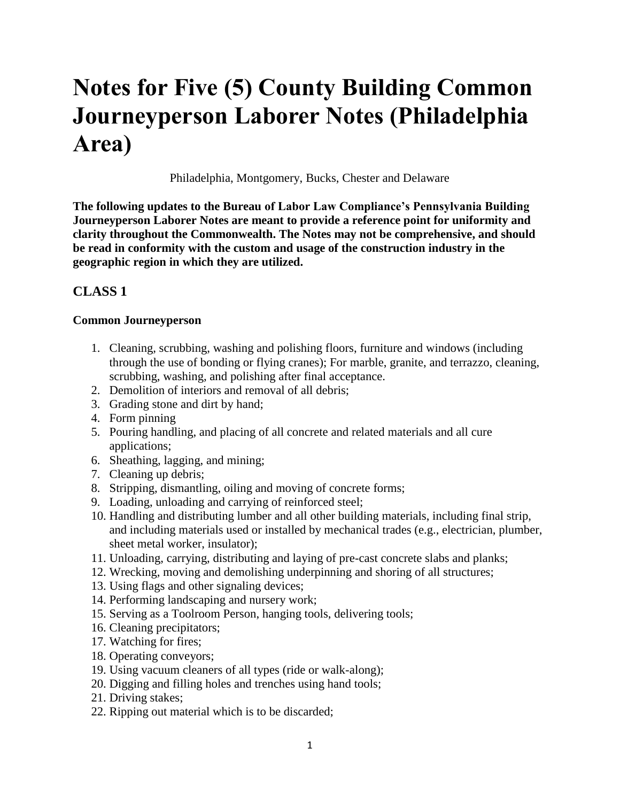# **Notes for Five (5) County Building Common Journeyperson Laborer Notes (Philadelphia Area)**

Philadelphia, Montgomery, Bucks, Chester and Delaware

**The following updates to the Bureau of Labor Law Compliance's Pennsylvania Building Journeyperson Laborer Notes are meant to provide a reference point for uniformity and clarity throughout the Commonwealth. The Notes may not be comprehensive, and should be read in conformity with the custom and usage of the construction industry in the geographic region in which they are utilized.**

## **CLASS 1**

#### **Common Journeyperson**

- 1. Cleaning, scrubbing, washing and polishing floors, furniture and windows (including through the use of bonding or flying cranes); For marble, granite, and terrazzo, cleaning, scrubbing, washing, and polishing after final acceptance.
- 2. Demolition of interiors and removal of all debris;
- 3. Grading stone and dirt by hand;
- 4. Form pinning
- 5. Pouring handling, and placing of all concrete and related materials and all cure applications;
- 6. Sheathing, lagging, and mining;
- 7. Cleaning up debris;
- 8. Stripping, dismantling, oiling and moving of concrete forms;
- 9. Loading, unloading and carrying of reinforced steel;
- 10. Handling and distributing lumber and all other building materials, including final strip, and including materials used or installed by mechanical trades (e.g., electrician, plumber, sheet metal worker, insulator);
- 11. Unloading, carrying, distributing and laying of pre-cast concrete slabs and planks;
- 12. Wrecking, moving and demolishing underpinning and shoring of all structures;
- 13. Using flags and other signaling devices;
- 14. Performing landscaping and nursery work;
- 15. Serving as a Toolroom Person, hanging tools, delivering tools;
- 16. Cleaning precipitators;
- 17. Watching for fires;
- 18. Operating conveyors;
- 19. Using vacuum cleaners of all types (ride or walk-along);
- 20. Digging and filling holes and trenches using hand tools;
- 21. Driving stakes;
- 22. Ripping out material which is to be discarded;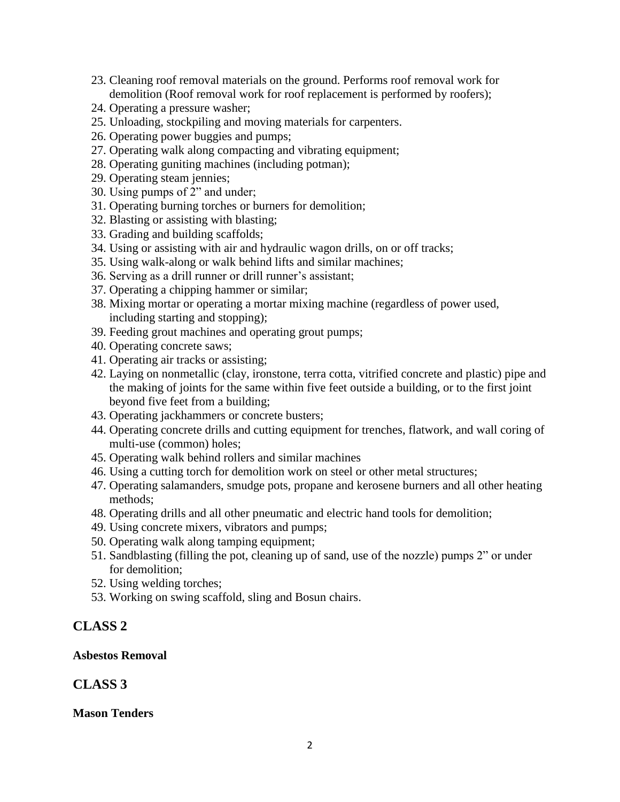- 23. Cleaning roof removal materials on the ground. Performs roof removal work for demolition (Roof removal work for roof replacement is performed by roofers);
- 24. Operating a pressure washer;
- 25. Unloading, stockpiling and moving materials for carpenters.
- 26. Operating power buggies and pumps;
- 27. Operating walk along compacting and vibrating equipment;
- 28. Operating guniting machines (including potman);
- 29. Operating steam jennies;
- 30. Using pumps of 2" and under;
- 31. Operating burning torches or burners for demolition;
- 32. Blasting or assisting with blasting;
- 33. Grading and building scaffolds;
- 34. Using or assisting with air and hydraulic wagon drills, on or off tracks;
- 35. Using walk-along or walk behind lifts and similar machines;
- 36. Serving as a drill runner or drill runner's assistant;
- 37. Operating a chipping hammer or similar;
- 38. Mixing mortar or operating a mortar mixing machine (regardless of power used, including starting and stopping);
- 39. Feeding grout machines and operating grout pumps;
- 40. Operating concrete saws;
- 41. Operating air tracks or assisting;
- 42. Laying on nonmetallic (clay, ironstone, terra cotta, vitrified concrete and plastic) pipe and the making of joints for the same within five feet outside a building, or to the first joint beyond five feet from a building;
- 43. Operating jackhammers or concrete busters;
- 44. Operating concrete drills and cutting equipment for trenches, flatwork, and wall coring of multi-use (common) holes;
- 45. Operating walk behind rollers and similar machines
- 46. Using a cutting torch for demolition work on steel or other metal structures;
- 47. Operating salamanders, smudge pots, propane and kerosene burners and all other heating methods;
- 48. Operating drills and all other pneumatic and electric hand tools for demolition;
- 49. Using concrete mixers, vibrators and pumps;
- 50. Operating walk along tamping equipment;
- 51. Sandblasting (filling the pot, cleaning up of sand, use of the nozzle) pumps 2" or under for demolition;
- 52. Using welding torches;
- 53. Working on swing scaffold, sling and Bosun chairs.

## **CLASS 2**

#### **Asbestos Removal**

## **CLASS 3**

#### **Mason Tenders**